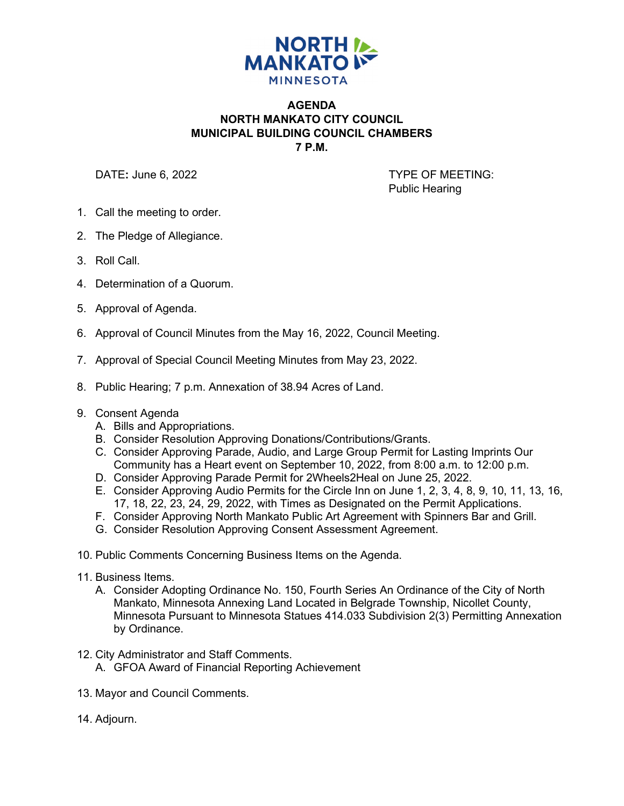

## **AGENDA NORTH MANKATO CITY COUNCIL MUNICIPAL BUILDING COUNCIL CHAMBERS 7 P.M.**

DATE: June 6, 2022 **TYPE OF MEETING:** Public Hearing

- 1. Call the meeting to order.
- 2. The Pledge of Allegiance.
- 3. Roll Call.
- 4. Determination of a Quorum.
- 5. Approval of Agenda.
- 6. Approval of Council Minutes from the May 16, 2022, Council Meeting.
- 7. Approval of Special Council Meeting Minutes from May 23, 2022.
- 8. Public Hearing; 7 p.m. Annexation of 38.94 Acres of Land.
- 9. Consent Agenda
	- A. Bills and Appropriations.
	- B. Consider Resolution Approving Donations/Contributions/Grants.
	- C. Consider Approving Parade, Audio, and Large Group Permit for Lasting Imprints Our Community has a Heart event on September 10, 2022, from 8:00 a.m. to 12:00 p.m.
	- D. Consider Approving Parade Permit for 2Wheels2Heal on June 25, 2022.
	- E. Consider Approving Audio Permits for the Circle Inn on June 1, 2, 3, 4, 8, 9, 10, 11, 13, 16, 17, 18, 22, 23, 24, 29, 2022, with Times as Designated on the Permit Applications.
	- F. Consider Approving North Mankato Public Art Agreement with Spinners Bar and Grill.
	- G. Consider Resolution Approving Consent Assessment Agreement.
- 10. Public Comments Concerning Business Items on the Agenda.
- 11. Business Items.
	- A. Consider Adopting Ordinance No. 150, Fourth Series An Ordinance of the City of North Mankato, Minnesota Annexing Land Located in Belgrade Township, Nicollet County, Minnesota Pursuant to Minnesota Statues 414.033 Subdivision 2(3) Permitting Annexation by Ordinance.
- 12. City Administrator and Staff Comments.
	- A. GFOA Award of Financial Reporting Achievement
- 13. Mayor and Council Comments.
- 14. Adjourn.